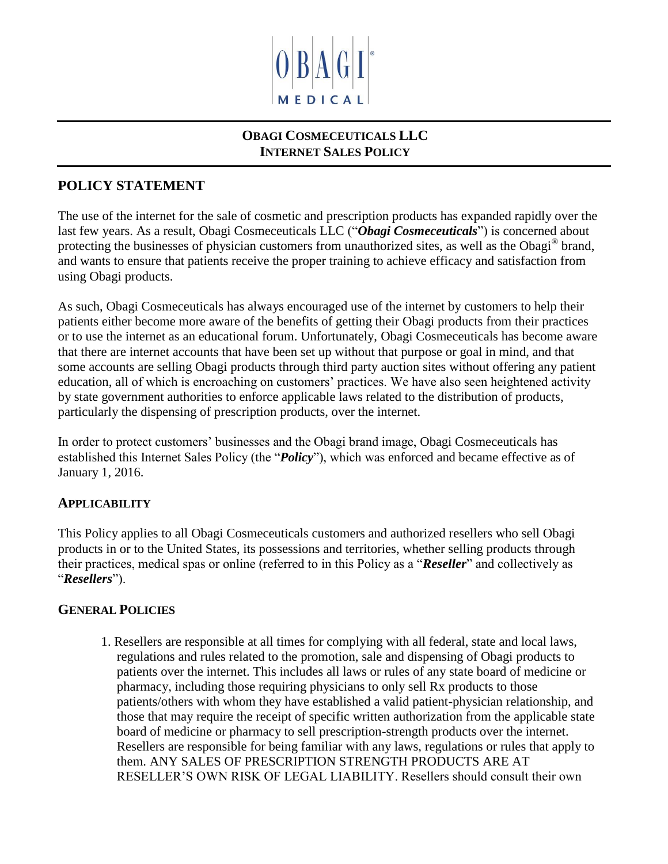

# **OBAGI COSMECEUTICALS LLC INTERNET SALES POLICY**

# **POLICY STATEMENT**

The use of the internet for the sale of cosmetic and prescription products has expanded rapidly over the last few years. As a result, Obagi Cosmeceuticals LLC ("*Obagi Cosmeceuticals*") is concerned about protecting the businesses of physician customers from unauthorized sites, as well as the Obagi® brand, and wants to ensure that patients receive the proper training to achieve efficacy and satisfaction from using Obagi products.

As such, Obagi Cosmeceuticals has always encouraged use of the internet by customers to help their patients either become more aware of the benefits of getting their Obagi products from their practices or to use the internet as an educational forum. Unfortunately, Obagi Cosmeceuticals has become aware that there are internet accounts that have been set up without that purpose or goal in mind, and that some accounts are selling Obagi products through third party auction sites without offering any patient education, all of which is encroaching on customers' practices. We have also seen heightened activity by state government authorities to enforce applicable laws related to the distribution of products, particularly the dispensing of prescription products, over the internet.

In order to protect customers' businesses and the Obagi brand image, Obagi Cosmeceuticals has established this Internet Sales Policy (the "*Policy*"), which was enforced and became effective as of January 1, 2016.

### **APPLICABILITY**

This Policy applies to all Obagi Cosmeceuticals customers and authorized resellers who sell Obagi products in or to the United States, its possessions and territories, whether selling products through their practices, medical spas or online (referred to in this Policy as a "*Reseller*" and collectively as "*Resellers*").

#### **GENERAL POLICIES**

1. Resellers are responsible at all times for complying with all federal, state and local laws, regulations and rules related to the promotion, sale and dispensing of Obagi products to patients over the internet. This includes all laws or rules of any state board of medicine or pharmacy, including those requiring physicians to only sell Rx products to those patients/others with whom they have established a valid patient-physician relationship, and those that may require the receipt of specific written authorization from the applicable state board of medicine or pharmacy to sell prescription-strength products over the internet. Resellers are responsible for being familiar with any laws, regulations or rules that apply to them. ANY SALES OF PRESCRIPTION STRENGTH PRODUCTS ARE AT RESELLER'S OWN RISK OF LEGAL LIABILITY. Resellers should consult their own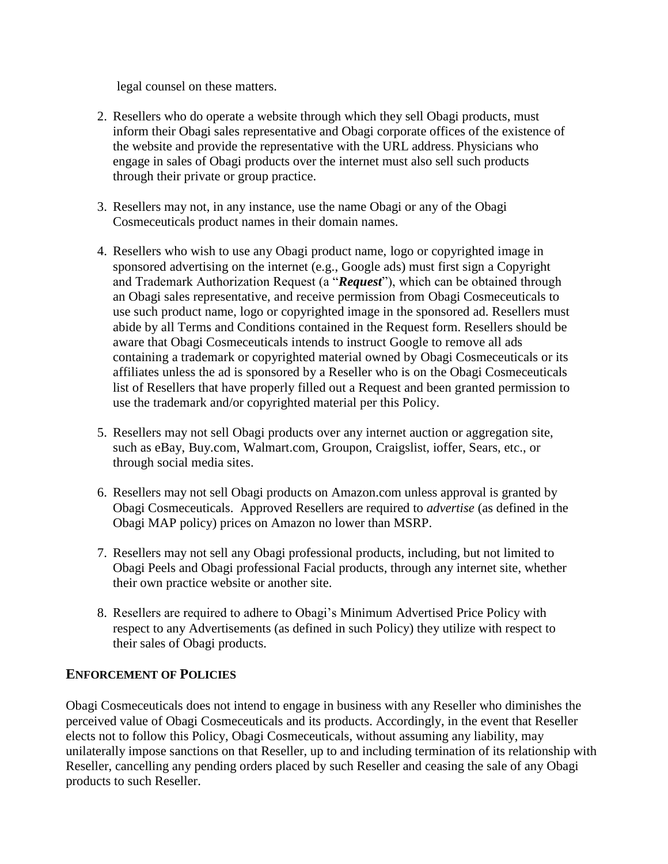legal counsel on these matters.

- 2. Resellers who do operate a website through which they sell Obagi products, must inform their Obagi sales representative and Obagi corporate offices of the existence of the website and provide the representative with the URL address. Physicians who engage in sales of Obagi products over the internet must also sell such products through their private or group practice.
- 3. Resellers may not, in any instance, use the name Obagi or any of the Obagi Cosmeceuticals product names in their domain names.
- 4. Resellers who wish to use any Obagi product name, logo or copyrighted image in sponsored advertising on the internet (e.g., Google ads) must first sign a Copyright and Trademark Authorization Request (a "*Request*"), which can be obtained through an Obagi sales representative, and receive permission from Obagi Cosmeceuticals to use such product name, logo or copyrighted image in the sponsored ad. Resellers must abide by all Terms and Conditions contained in the Request form. Resellers should be aware that Obagi Cosmeceuticals intends to instruct Google to remove all ads containing a trademark or copyrighted material owned by Obagi Cosmeceuticals or its affiliates unless the ad is sponsored by a Reseller who is on the Obagi Cosmeceuticals list of Resellers that have properly filled out a Request and been granted permission to use the trademark and/or copyrighted material per this Policy.
- 5. Resellers may not sell Obagi products over any internet auction or aggregation site, such as eBay, Buy.com, Walmart.com, Groupon, Craigslist, ioffer, Sears, etc., or through social media sites.
- 6. Resellers may not sell Obagi products on Amazon.com unless approval is granted by Obagi Cosmeceuticals. Approved Resellers are required to *advertise* (as defined in the Obagi MAP policy) prices on Amazon no lower than MSRP.
- 7. Resellers may not sell any Obagi professional products, including, but not limited to Obagi Peels and Obagi professional Facial products, through any internet site, whether their own practice website or another site.
- 8. Resellers are required to adhere to Obagi's Minimum Advertised Price Policy with respect to any Advertisements (as defined in such Policy) they utilize with respect to their sales of Obagi products.

#### **ENFORCEMENT OF POLICIES**

Obagi Cosmeceuticals does not intend to engage in business with any Reseller who diminishes the perceived value of Obagi Cosmeceuticals and its products. Accordingly, in the event that Reseller elects not to follow this Policy, Obagi Cosmeceuticals, without assuming any liability, may unilaterally impose sanctions on that Reseller, up to and including termination of its relationship with Reseller, cancelling any pending orders placed by such Reseller and ceasing the sale of any Obagi products to such Reseller.